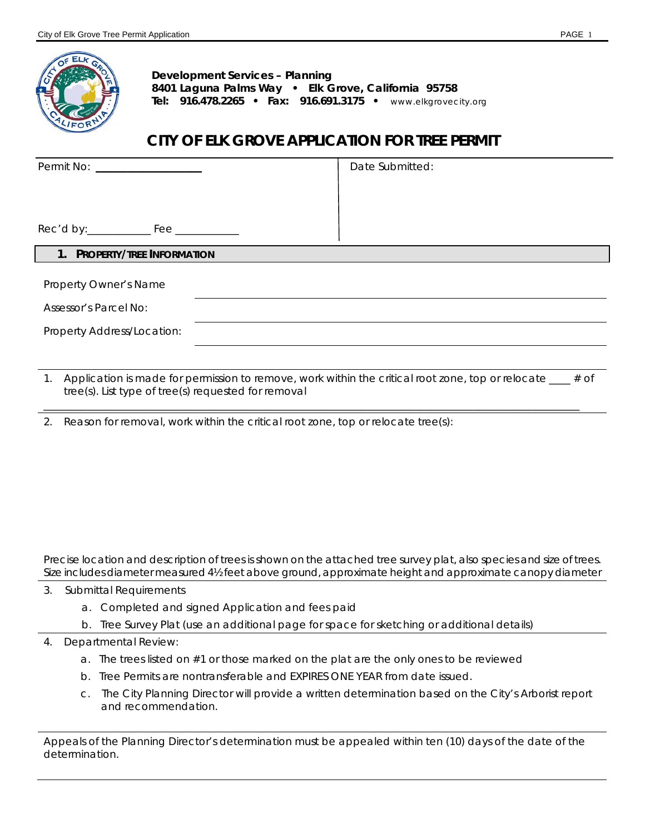

**Development Services – Planning 8401 Laguna Palms Way • Elk Grove, California 95758 Tel: 916.478.2265 • Fax: 916.691.3175 •** www.elkgrovecity.org

# **CITY OF ELK GROVE APPLICATION FOR TREE PERMIT**

| Permit No: _____________________               | Date Submitted: |  |
|------------------------------------------------|-----------------|--|
|                                                |                 |  |
|                                                |                 |  |
| 1. PROPERTY/TREE INFORMATION                   |                 |  |
| Property Owner's Name<br>Assessor's Parcel No: |                 |  |
| Property Address/Location:                     |                 |  |
|                                                |                 |  |

1. Application is made for permission to remove, work within the critical root zone, top or relocate \_\_\_\_ # of tree(s). List type of tree(s) requested for removal

\_\_\_\_\_\_\_\_\_\_\_\_\_\_\_\_\_\_\_\_\_\_\_\_\_\_\_\_\_\_\_\_\_\_\_\_\_\_\_\_\_\_\_\_\_\_\_\_\_\_\_\_\_\_\_\_\_\_\_\_\_\_\_\_\_\_\_\_\_\_\_\_\_\_\_\_\_\_\_\_\_\_\_\_\_\_\_\_\_\_\_\_\_\_\_\_\_\_\_\_\_

2. Reason for removal, work within the critical root zone, top or relocate tree(s):

Precise location and description of trees is shown on the attached tree survey plat, also species and size of trees. Size includes diameter measured 4½ feet above ground, approximate height and approximate canopy diameter

- 3. Submittal Requirements
	- a. Completed and signed Application and fees paid
	- b. Tree Survey Plat (use an additional page for space for sketching or additional details)
- 4. Departmental Review:
	- a. The trees listed on #1 or those marked on the plat are the only ones to be reviewed
	- b. Tree Permits are nontransferable and EXPIRES ONE YEAR from date issued.
	- c. The City Planning Director will provide a written determination based on the City's Arborist report and recommendation.

Appeals of the Planning Director's determination must be appealed within ten (10) days of the date of the determination.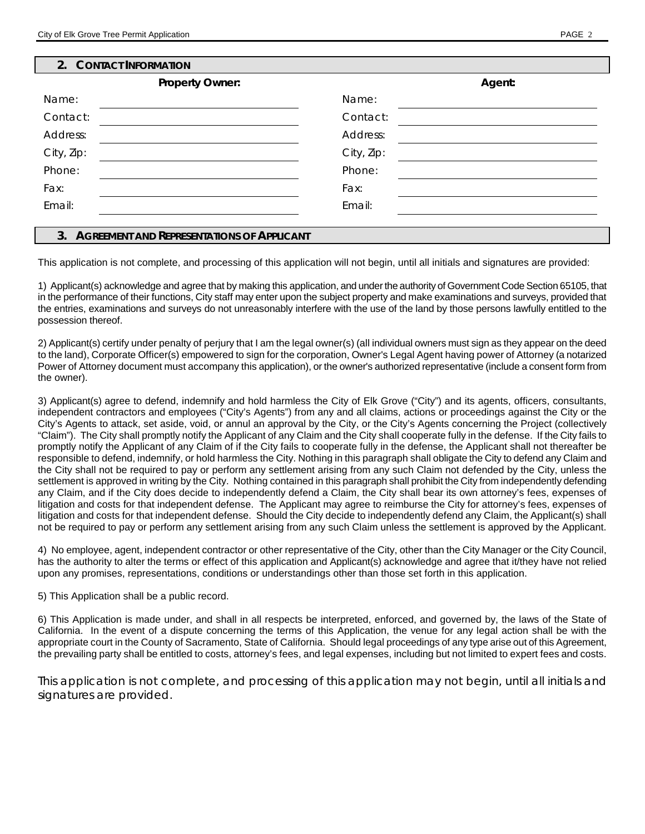#### **2. CONTACT INFORMATION**

| <b>Property Owner:</b> |            | Agent: |
|------------------------|------------|--------|
| Name:                  | Name:      |        |
| Contact:               | Contact:   |        |
| Address:               | Address:   |        |
| City, Zip:             | City, Zip: |        |
| Phone:                 | Phone:     |        |
| Fax:                   | Fax:       |        |
| Email:                 | Email:     |        |
|                        |            |        |

#### **3. AGREEMENT AND REPRESENTATIONS OF APPLICANT**

This application is not complete, and processing of this application will not begin, until all initials and signatures are provided:

1) Applicant(s) acknowledge and agree that by making this application, and under the authority of Government Code Section 65105, that in the performance of their functions, City staff may enter upon the subject property and make examinations and surveys, provided that the entries, examinations and surveys do not unreasonably interfere with the use of the land by those persons lawfully entitled to the possession thereof.

2) Applicant(s) certify under penalty of perjury that I am the legal owner(s) (all individual owners must sign as they appear on the deed to the land), Corporate Officer(s) empowered to sign for the corporation, Owner's Legal Agent having power of Attorney (a notarized Power of Attorney document must accompany this application), or the owner's authorized representative (include a consent form from the owner).

3) Applicant(s) agree to defend, indemnify and hold harmless the City of Elk Grove ("City") and its agents, officers, consultants, independent contractors and employees ("City's Agents") from any and all claims, actions or proceedings against the City or the City's Agents to attack, set aside, void, or annul an approval by the City, or the City's Agents concerning the Project (collectively "Claim"). The City shall promptly notify the Applicant of any Claim and the City shall cooperate fully in the defense. If the City fails to promptly notify the Applicant of any Claim of if the City fails to cooperate fully in the defense, the Applicant shall not thereafter be responsible to defend, indemnify, or hold harmless the City. Nothing in this paragraph shall obligate the City to defend any Claim and the City shall not be required to pay or perform any settlement arising from any such Claim not defended by the City, unless the settlement is approved in writing by the City. Nothing contained in this paragraph shall prohibit the City from independently defending any Claim, and if the City does decide to independently defend a Claim, the City shall bear its own attorney's fees, expenses of litigation and costs for that independent defense. The Applicant may agree to reimburse the City for attorney's fees, expenses of litigation and costs for that independent defense. Should the City decide to independently defend any Claim, the Applicant(s) shall not be required to pay or perform any settlement arising from any such Claim unless the settlement is approved by the Applicant.

4) No employee, agent, independent contractor or other representative of the City, other than the City Manager or the City Council, has the authority to alter the terms or effect of this application and Applicant(s) acknowledge and agree that it/they have not relied upon any promises, representations, conditions or understandings other than those set forth in this application.

### 5) This Application shall be a public record.

6) This Application is made under, and shall in all respects be interpreted, enforced, and governed by, the laws of the State of California. In the event of a dispute concerning the terms of this Application, the venue for any legal action shall be with the appropriate court in the County of Sacramento, State of California. Should legal proceedings of any type arise out of this Agreement, the prevailing party shall be entitled to costs, attorney's fees, and legal expenses, including but not limited to expert fees and costs.

*This application is not complete, and processing of this application may not begin, until all initials and signatures are provided.*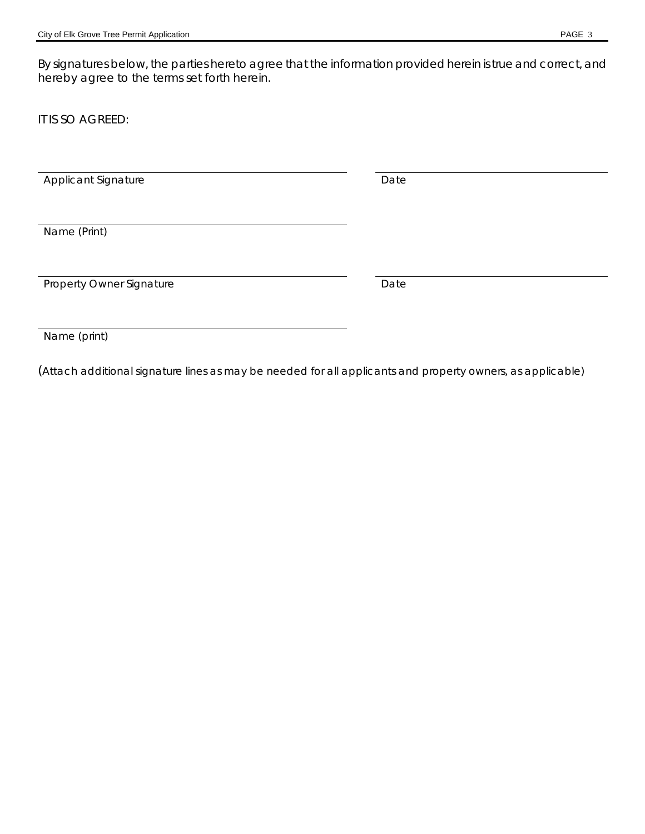By signatures below, the parties hereto agree that the information provided herein is true and correct, and hereby agree to the terms set forth herein.

IT IS SO AGREED:

Applicant Signature **Date** Date

Name (Print)

Property Owner Signature Date

Name (print)

(Attach additional signature lines as may be needed for all applicants and property owners, as applicable)